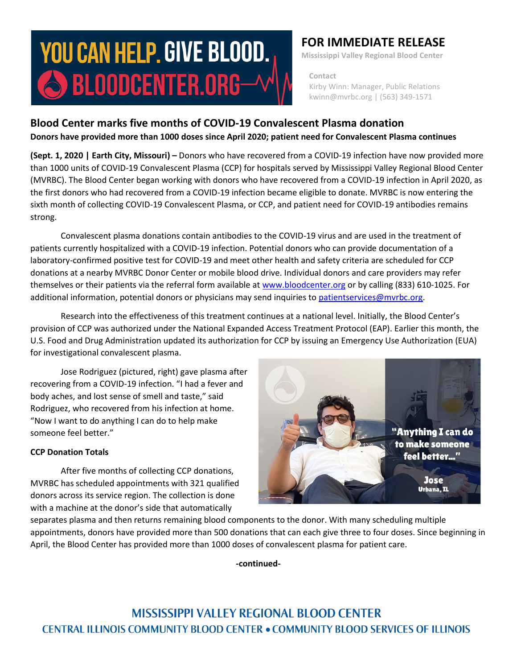# **YOU CAN HELP. GIVE BLOOD.**  $\bigcirc$  bloodcenter.org $-$

## **FOR IMMEDIATE RELEASE**

**Mississippi Valley Regional Blood Center**

 **Contact** Kirby Winn: Manager, Public Relations kwinn@mvrbc.org | (563) 349-1571

## **Blood Center marks five months of COVID-19 Convalescent Plasma donation Donors have provided more than 1000 doses since April 2020; patient need for Convalescent Plasma continues**

**(Sept. 1, 2020 | Earth City, Missouri) –** Donors who have recovered from a COVID-19 infection have now provided more than 1000 units of COVID-19 Convalescent Plasma (CCP) for hospitals served by Mississippi Valley Regional Blood Center (MVRBC). The Blood Center began working with donors who have recovered from a COVID-19 infection in April 2020, as the first donors who had recovered from a COVID-19 infection became eligible to donate. MVRBC is now entering the sixth month of collecting COVID-19 Convalescent Plasma, or CCP, and patient need for COVID-19 antibodies remains strong.

Convalescent plasma donations contain antibodies to the COVID-19 virus and are used in the treatment of patients currently hospitalized with a COVID-19 infection. Potential donors who can provide documentation of a laboratory-confirmed positive test for COVID-19 and meet other health and safety criteria are scheduled for CCP donations at a nearby MVRBC Donor Center or mobile blood drive. Individual donors and care providers may refer themselves or their patients via the referral form available a[t www.bloodcenter.org](http://www.bloodcenter.org/) or by calling (833) 610-1025. For additional information, potential donors or physicians may send inquiries to [patientservices@mvrbc.org.](mailto:patientservices@mvrbc.org)

Research into the effectiveness of this treatment continues at a national level. Initially, the Blood Center's provision of CCP was authorized under the National Expanded Access Treatment Protocol (EAP). Earlier this month, the U.S. Food and Drug Administration updated its authorization for CCP by issuing an Emergency Use Authorization (EUA) for investigational convalescent plasma.

Jose Rodriguez (pictured, right) gave plasma after recovering from a COVID-19 infection. "I had a fever and body aches, and lost sense of smell and taste," said Rodriguez, who recovered from his infection at home. "Now I want to do anything I can do to help make someone feel better."

### **CCP Donation Totals**

After five months of collecting CCP donations, MVRBC has scheduled appointments with 321 qualified donors across its service region. The collection is done with a machine at the donor's side that automatically



separates plasma and then returns remaining blood components to the donor. With many scheduling multiple appointments, donors have provided more than 500 donations that can each give three to four doses. Since beginning in April, the Blood Center has provided more than 1000 doses of convalescent plasma for patient care.

**-continued-**